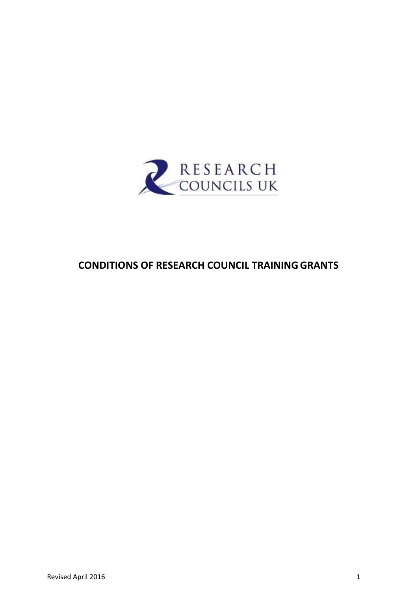

# **CONDITIONS OF RESEARCH COUNCIL TRAININGGRANTS**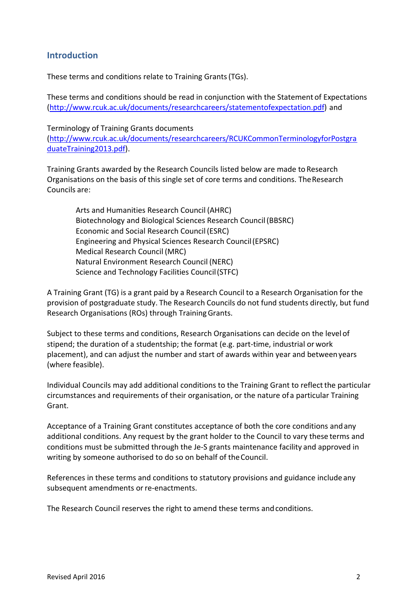## **Introduction**

These terms and conditions relate to Training Grants(TGs).

These terms and conditions should be read in conjunction with the Statement of Expectations [\(http://www.rcuk.ac.uk/documents/researchcareers/statementofexpectation.pdf\)](http://www.rcuk.ac.uk/documents/researchcareers/statementofexpectation.pdf) and

Terminology of Training Grants documents [\(http://www.rcuk.ac.uk/documents/researchcareers/RCUKCommonTerminologyforPostgra](http://www.rcuk.ac.uk/documents/researchcareers/RCUKCommonTerminologyforPostgraduateTraining2013.pdf) [duateTraining2013.pdf\)](http://www.rcuk.ac.uk/documents/researchcareers/RCUKCommonTerminologyforPostgraduateTraining2013.pdf).

Training Grants awarded by the Research Councils listed below are made to Research Organisations on the basis of this single set of core terms and conditions. TheResearch Councils are:

Arts and Humanities Research Council (AHRC) Biotechnology and Biological Sciences Research Council(BBSRC) Economic and Social Research Council(ESRC) Engineering and Physical Sciences Research Council(EPSRC) Medical Research Council (MRC) Natural Environment Research Council (NERC) Science and Technology Facilities Council(STFC)

A Training Grant (TG) is a grant paid by a Research Council to a Research Organisation for the provision of postgraduate study. The Research Councils do not fund students directly, but fund Research Organisations (ROs) through TrainingGrants.

Subject to these terms and conditions, Research Organisations can decide on the level of stipend; the duration of a studentship; the format (e.g. part-time, industrial or work placement), and can adjust the number and start of awards within year and betweenyears (where feasible).

Individual Councils may add additional conditions to the Training Grant to reflect the particular circumstances and requirements of their organisation, or the nature ofa particular Training Grant.

Acceptance of a Training Grant constitutes acceptance of both the core conditions andany additional conditions. Any request by the grant holder to the Council to vary these terms and conditions must be submitted through the Je-S grants maintenance facility and approved in writing by someone authorised to do so on behalf of theCouncil.

References in these terms and conditions to statutory provisions and guidance include any subsequent amendments or re-enactments.

The Research Council reserves the right to amend these terms andconditions.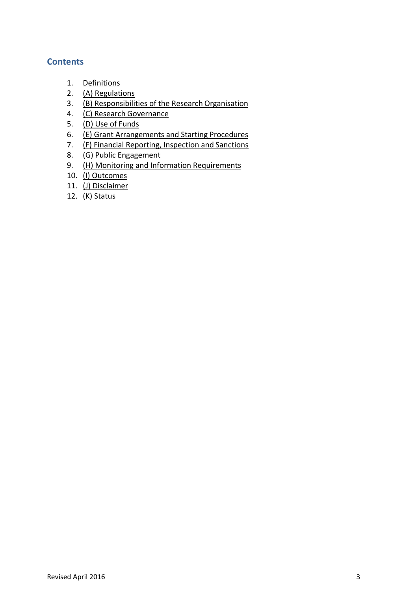## **Contents**

- 1. [Definitions](#page-3-0)
- 2. [\(A\) Regulations](#page-4-0)
- 3. [\(B\) Responsibilities of the Research](#page-5-0) Organisation
- 4. (C) Research Governance
- 5. [\(D\) Use of](#page-9-0) Funds
- 6. [\(E\) Grant Arrangements and Starting](#page-16-0) Procedures
- 7. [\(F\) Financial Reporting, Inspection and](#page-17-0) Sanctions
- 8. (G) Public [Engagement](#page-18-0)
- 9. [\(H\) Monitoring and Information](#page-18-1) Requirements
- 10. (I) [Outcomes](#page-20-0)
- 11. (J) [Disclaimer](#page-21-0)
- 12. (K) [Status](#page-22-0)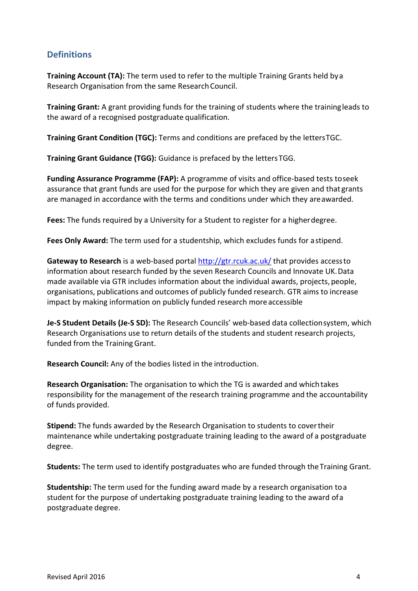## <span id="page-3-0"></span>**Definitions**

**Training Account (TA):** The term used to refer to the multiple Training Grants held bya Research Organisation from the same Research Council.

**Training Grant:** A grant providing funds for the training of students where the trainingleads to the award of a recognised postgraduate qualification.

**Training Grant Condition (TGC):** Terms and conditions are prefaced by the lettersTGC.

**Training Grant Guidance (TGG):** Guidance is prefaced by the lettersTGG.

**Funding Assurance Programme (FAP):** A programme of visits and office-based tests toseek assurance that grant funds are used for the purpose for which they are given and that grants are managed in accordance with the terms and conditions under which they areawarded.

**Fees:** The funds required by a University for a Student to register for a higherdegree.

**Fees Only Award:** The term used for a studentship, which excludes funds for astipend.

**Gateway to Research** is a web-based portal<http://gtr.rcuk.ac.uk/> that provides accessto information about research funded by the seven Research Councils and Innovate UK.Data made available via GTR includes information about the individual awards, projects, people, organisations, publications and outcomes of publicly funded research. GTR aims to increase impact by making information on publicly funded research moreaccessible

**Je-S Student Details (Je-S SD):** The Research Councils' web-based data collectionsystem, which Research Organisations use to return details of the students and student research projects, funded from the Training Grant.

**Research Council:** Any of the bodies listed in the introduction.

**Research Organisation:** The organisation to which the TG is awarded and whichtakes responsibility for the management of the research training programme and the accountability of funds provided.

**Stipend:** The funds awarded by the Research Organisation to students to covertheir maintenance while undertaking postgraduate training leading to the award of a postgraduate degree.

**Students:** The term used to identify postgraduates who are funded through theTraining Grant.

**Studentship:** The term used for the funding award made by a research organisation toa student for the purpose of undertaking postgraduate training leading to the award ofa postgraduate degree.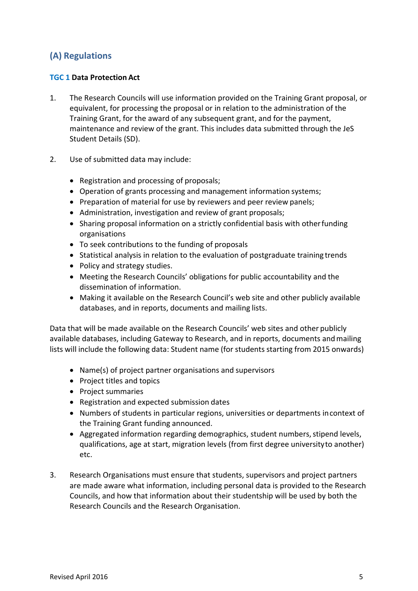## <span id="page-4-0"></span>**(A) Regulations**

## **TGC 1 Data Protection Act**

- 1. The Research Councils will use information provided on the Training Grant proposal, or equivalent, for processing the proposal or in relation to the administration of the Training Grant, for the award of any subsequent grant, and for the payment, maintenance and review of the grant. This includes data submitted through the JeS Student Details (SD).
- 2. Use of submitted data may include:
	- Registration and processing of proposals;
	- Operation of grants processing and management information systems;
	- Preparation of material for use by reviewers and peer review panels;
	- Administration, investigation and review of grant proposals;
	- Sharing proposal information on a strictly confidential basis with otherfunding organisations
	- To seek contributions to the funding of proposals
	- Statistical analysis in relation to the evaluation of postgraduate training trends
	- Policy and strategy studies.
	- Meeting the Research Councils' obligations for public accountability and the dissemination of information.
	- Making it available on the Research Council's web site and other publicly available databases, and in reports, documents and mailing lists.

Data that will be made available on the Research Councils' web sites and other publicly available databases, including Gateway to Research, and in reports, documents andmailing lists will include the following data: Student name (for students starting from 2015 onwards)

- Name(s) of project partner organisations and supervisors
- Project titles and topics
- Project summaries
- Registration and expected submission dates
- Numbers of students in particular regions, universities or departments incontext of the Training Grant funding announced.
- Aggregated information regarding demographics, student numbers, stipend levels, qualifications, age at start, migration levels (from first degree universityto another) etc.
- 3. Research Organisations must ensure that students, supervisors and project partners are made aware what information, including personal data is provided to the Research Councils, and how that information about their studentship will be used by both the Research Councils and the Research Organisation.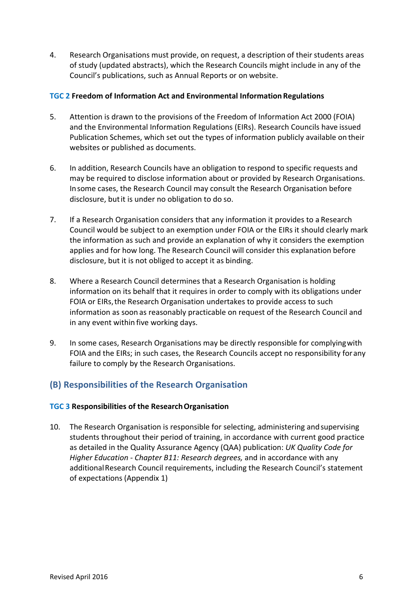4. Research Organisations must provide, on request, a description of their students areas of study (updated abstracts), which the Research Councils might include in any of the Council's publications, such as Annual Reports or on website.

### **TGC 2 Freedom of Information Act and Environmental InformationRegulations**

- 5. Attention is drawn to the provisions of the Freedom of Information Act 2000 (FOIA) and the Environmental Information Regulations (EIRs). Research Councils have issued Publication Schemes, which set out the types of information publicly available on their websites or published as documents.
- 6. In addition, Research Councils have an obligation to respond to specific requests and may be required to disclose information about or provided by Research Organisations. Insome cases, the Research Council may consult the Research Organisation before disclosure, butit is under no obligation to do so.
- 7. If a Research Organisation considers that any information it provides to a Research Council would be subject to an exemption under FOIA or the EIRs it should clearly mark the information as such and provide an explanation of why it considers the exemption applies and for how long. The Research Council will consider this explanation before disclosure, but it is not obliged to accept it as binding.
- 8. Where a Research Council determines that a Research Organisation is holding information on its behalf that it requires in order to comply with its obligations under FOIA or EIRs, the Research Organisation undertakes to provide access to such information as soon as reasonably practicable on request of the Research Council and in any event within five working days.
- 9. In some cases, Research Organisations may be directly responsible for complyingwith FOIA and the EIRs; in such cases, the Research Councils accept no responsibility forany failure to comply by the Research Organisations.

## <span id="page-5-0"></span>**(B) Responsibilities of the Research Organisation**

### **TGC 3 Responsibilities of the ResearchOrganisation**

10. The Research Organisation is responsible for selecting, administering andsupervising students throughout their period of training, in accordance with current good practice as detailed in the Quality Assurance Agency (QAA) publication: *UK Quality Code for Higher Education - Chapter B11: Research degrees,* and in accordance with any additional Research Council requirements, including the Research Council's statement of expectations (Appendix 1)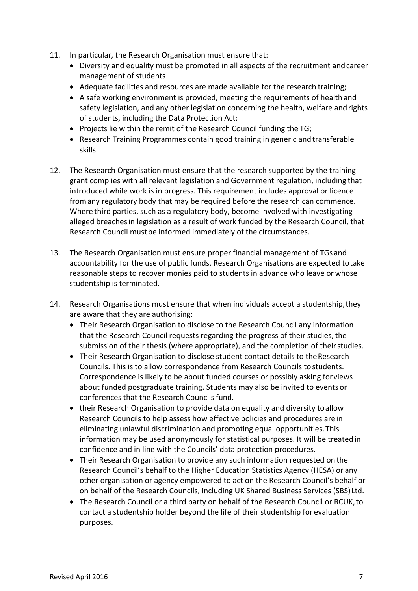- 11. In particular, the Research Organisation must ensure that:
	- Diversity and equality must be promoted in all aspects of the recruitment andcareer management of students
	- Adequate facilities and resources are made available for the research training;
	- A safe working environment is provided, meeting the requirements of health and safety legislation, and any other legislation concerning the health, welfare andrights of students, including the Data Protection Act;
	- Projects lie within the remit of the Research Council funding the TG;
	- Research Training Programmes contain good training in generic and transferable skills.
- 12. The Research Organisation must ensure that the research supported by the training grant complies with all relevant legislation and Government regulation, including that introduced while work is in progress. This requirement includes approval or licence fromany regulatory body that may be required before the research can commence. Where third parties, such as a regulatory body, become involved with investigating alleged breachesin legislation as a result of work funded by the Research Council, that Research Council mustbe informed immediately of the circumstances.
- 13. The Research Organisation must ensure proper financial management of TGs and accountability for the use of public funds. Research Organisations are expected totake reasonable steps to recover monies paid to students in advance who leave or whose studentship is terminated.
- 14. Research Organisations must ensure that when individuals accept a studentship,they are aware that they are authorising:
	- Their Research Organisation to disclose to the Research Council any information that the Research Council requests regarding the progress of their studies, the submission of their thesis (where appropriate), and the completion of their studies.
	- Their Research Organisation to disclose student contact details to theResearch Councils. This is to allow correspondence from Research Councils tostudents. Correspondence is likely to be about funded courses or possibly asking forviews about funded postgraduate training. Students may also be invited to events or conferences that the Research Councils fund.
	- their Research Organisation to provide data on equality and diversity toallow Research Councils to help assess how effective policies and procedures arein eliminating unlawful discrimination and promoting equal opportunities.This information may be used anonymously for statistical purposes. It will be treatedin confidence and in line with the Councils' data protection procedures.
	- Their Research Organisation to provide any such information requested on the Research Council's behalf to the Higher Education Statistics Agency (HESA) or any other organisation or agency empowered to act on the Research Council's behalf or on behalf of the Research Councils, including UK Shared Business Services (SBS)Ltd.
	- The Research Council or a third party on behalf of the Research Council or RCUK, to contact a studentship holder beyond the life of their studentship for evaluation purposes.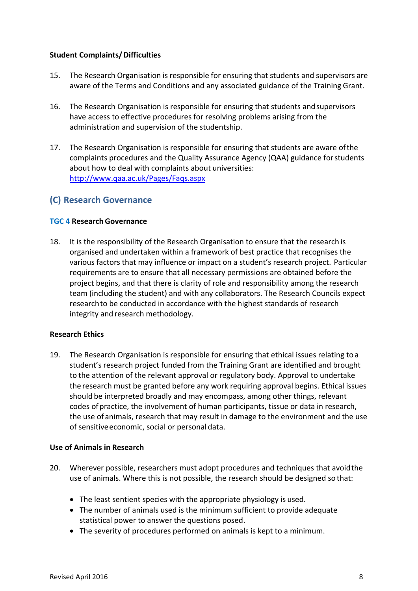### **Student Complaints/Difficulties**

- 15. The Research Organisation is responsible for ensuring that students and supervisors are aware of the Terms and Conditions and any associated guidance of the Training Grant.
- 16. The Research Organisation is responsible for ensuring that students andsupervisors have access to effective procedures for resolving problems arising from the administration and supervision of the studentship.
- 17. The Research Organisation is responsible for ensuring that students are aware ofthe complaints procedures and the Quality Assurance Agency (QAA) guidance forstudents about how to deal with complaints about universities: <http://www.qaa.ac.uk/Pages/Faqs.aspx>

## **(C) Research Governance**

## **TGC 4 Research Governance**

18. It is the responsibility of the Research Organisation to ensure that the research is organised and undertaken within a framework of best practice that recognises the various factors that may influence or impact on a student's research project. Particular requirements are to ensure that all necessary permissions are obtained before the project begins, and that there is clarity of role and responsibility among the research team (including the student) and with any collaborators. The Research Councils expect researchto be conducted in accordance with the highest standards of research integrity and research methodology.

## **Research Ethics**

19. The Research Organisation is responsible for ensuring that ethical issues relating toa student's research project funded from the Training Grant are identified and brought to the attention of the relevant approval or regulatory body. Approval to undertake the research must be granted before any work requiring approval begins. Ethical issues should be interpreted broadly and may encompass, among other things, relevant codes ofpractice, the involvement of human participants, tissue or data in research, the use of animals, research that may result in damage to the environment and the use of sensitive economic, social or personal data.

### **Use of Animals in Research**

- 20. Wherever possible, researchers must adopt procedures and techniques that avoidthe use of animals. Where this is not possible, the research should be designed so that:
	- The least sentient species with the appropriate physiology is used.
	- The number of animals used is the minimum sufficient to provide adequate statistical power to answer the questions posed.
	- The severity of procedures performed on animals is kept to a minimum.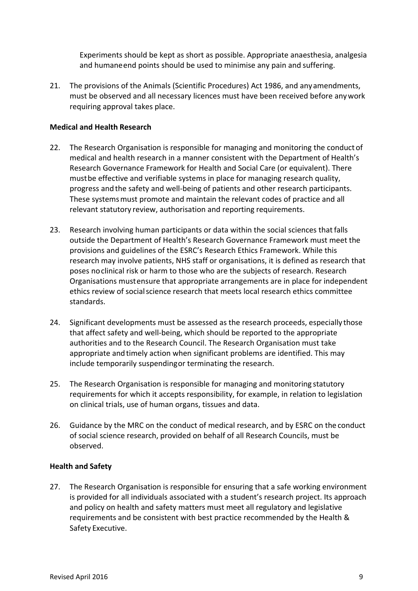Experiments should be kept as short as possible. Appropriate anaesthesia, analgesia and humaneend points should be used to minimise any pain and suffering.

21. The provisions of the Animals (Scientific Procedures) Act 1986, and anyamendments, must be observed and all necessary licences must have been received before anywork requiring approval takes place.

### **Medical and Health Research**

- 22. The Research Organisation is responsible for managing and monitoring the conduct of medical and health research in a manner consistent with the Department of Health's Research Governance Framework for Health and Social Care (or equivalent). There mustbe effective and verifiable systems in place for managing research quality, progress and the safety and well-being of patients and other research participants. These systemsmust promote and maintain the relevant codes of practice and all relevant statutory review, authorisation and reporting requirements.
- 23. Research involving human participants or data within the social sciences thatfalls outside the Department of Health's Research Governance Framework must meet the provisions and guidelines of the ESRC's Research Ethics Framework. While this research may involve patients, NHS staff or organisations, it is defined as research that poses noclinical risk or harm to those who are the subjects of research. Research Organisations mustensure that appropriate arrangements are in place for independent ethics review of socialscience research that meets local research ethics committee standards.
- 24. Significant developments must be assessed as the research proceeds, especially those that affect safety and well-being, which should be reported to the appropriate authorities and to the Research Council. The Research Organisation must take appropriate andtimely action when significant problems are identified. This may include temporarily suspendingor terminating the research.
- 25. The Research Organisation is responsible for managing and monitoring statutory requirements for which it accepts responsibility, for example, in relation to legislation on clinical trials, use of human organs, tissues and data.
- 26. Guidance by the MRC on the conduct of medical research, and by ESRC on the conduct of social science research, provided on behalf of all Research Councils, must be observed.

## **Health and Safety**

27. The Research Organisation is responsible for ensuring that a safe working environment is provided for all individuals associated with a student's research project. Its approach and policy on health and safety matters must meet all regulatory and legislative requirements and be consistent with best practice recommended by the Health & Safety Executive.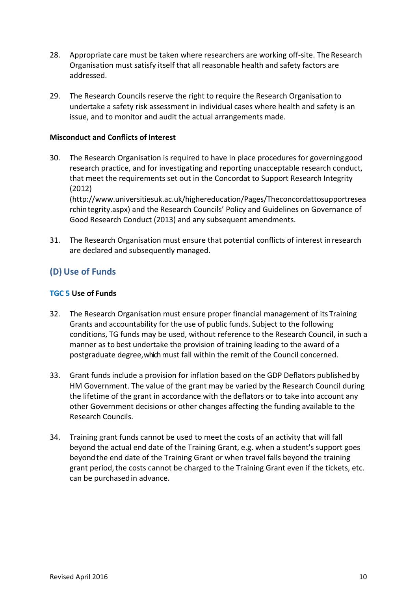- 28. Appropriate care must be taken where researchers are working off-site. The Research Organisation must satisfy itself that all reasonable health and safety factors are addressed.
- 29. The Research Councils reserve the right to require the Research Organisation to undertake a safety risk assessment in individual cases where health and safety is an issue, and to monitor and audit the actual arrangements made.

### **Misconduct and Conflicts of Interest**

30. The Research Organisation is required to have in place procedures for governinggood research practice, and for investigating and reporting unacceptable research conduct, that meet the requirements set out in the Concordat to Support Research Integrity (2012)

[\(http://www.universitiesuk.ac.uk/highereducation/Pages/Theconcordattosupportresea](http://www.universitiesuk.ac.uk/highereducation/Pages/Theconcordattosupportresearchin) [rchint](http://www.universitiesuk.ac.uk/highereducation/Pages/Theconcordattosupportresearchin)egrity.aspx) and the Research Councils' Policy and Guidelines on Governance of Good Research Conduct (2013) and any subsequent amendments.

31. The Research Organisation must ensure that potential conflicts of interest inresearch are declared and subsequently managed.

## <span id="page-9-0"></span>**(D) Use of Funds**

## **TGC 5 Use of Funds**

- 32. The Research Organisation must ensure proper financial management of its Training Grants and accountability for the use of public funds. Subject to the following conditions, TG funds may be used, without reference to the Research Council, in such a manner as to best undertake the provision of training leading to the award of a postgraduate degree, which must fall within the remit of the Council concerned.
- 33. Grant funds include a provision for inflation based on the GDP Deflators publishedby HM Government. The value of the grant may be varied by the Research Council during the lifetime of the grant in accordance with the deflators or to take into account any other Government decisions or other changes affecting the funding available to the Research Councils.
- 34. Training grant funds cannot be used to meet the costs of an activity that will fall beyond the actual end date of the Training Grant, e.g. when a student's support goes beyondthe end date of the Training Grant or when travel falls beyond the training grant period, the costs cannot be charged to the Training Grant even if the tickets, etc. can be purchasedin advance.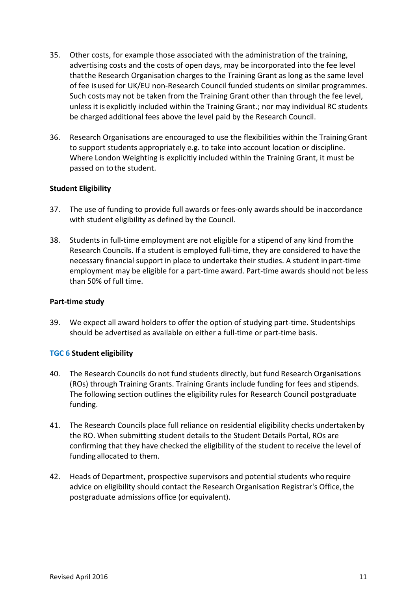- 35. Other costs, for example those associated with the administration of the training, advertising costs and the costs of open days, may be incorporated into the fee level thatthe Research Organisation charges to the Training Grant as long as the same level of fee isused for UK/EU non-Research Council funded students on similar programmes. Such costsmay not be taken from the Training Grant other than through the fee level, unless it is explicitly included within the Training Grant.; nor may individual RC students be charged additional fees above the level paid by the Research Council.
- 36. Research Organisations are encouraged to use the flexibilities within the TrainingGrant to support students appropriately e.g. to take into account location or discipline. Where London Weighting is explicitly included within the Training Grant, it must be passed on tothe student.

## **Student Eligibility**

- 37. The use of funding to provide full awards or fees-only awards should be inaccordance with student eligibility as defined by the Council.
- 38. Students in full-time employment are not eligible for a stipend of any kind fromthe Research Councils. If a student is employed full-time, they are considered to have the necessary financial support in place to undertake their studies. A student inpart-time employment may be eligible for a part-time award. Part-time awards should not beless than 50% of full time.

### **Part-time study**

39. We expect all award holders to offer the option of studying part-time. Studentships should be advertised as available on either a full-time or part-time basis.

### **TGC 6 Student eligibility**

- 40. The Research Councils do not fund students directly, but fund Research Organisations (ROs) through Training Grants. Training Grants include funding for fees and stipends. The following section outlines the eligibility rules for Research Council postgraduate funding.
- 41. The Research Councils place full reliance on residential eligibility checks undertakenby the RO. When submitting student details to the Student Details Portal, ROs are confirming that they have checked the eligibility of the student to receive the level of funding allocated to them.
- 42. Heads of Department, prospective supervisors and potential students who require advice on eligibility should contact the Research Organisation Registrar's Office, the postgraduate admissions office (or equivalent).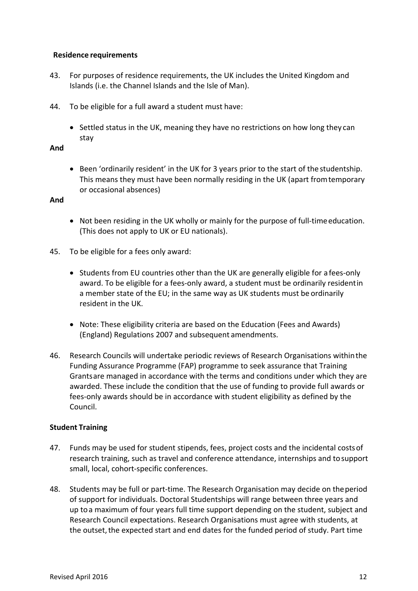## **Residence requirements**

- 43. For purposes of residence requirements, the UK includes the United Kingdom and Islands (i.e. the Channel Islands and the Isle of Man).
- 44. To be eligible for a full award a student must have:
	- Settled status in the UK, meaning they have no restrictions on how long they can stay

## **And**

• Been 'ordinarily resident' in the UK for 3 years prior to the start of the studentship. This means they must have been normally residing in the UK (apart fromtemporary or occasional absences)

## **And**

- Not been residing in the UK wholly or mainly for the purpose of full-time education. (This does not apply to UK or EU nationals).
- 45. To be eligible for a fees only award:
	- Students from EU countries other than the UK are generally eligible for a fees-only award. To be eligible for a fees-only award, a student must be ordinarily residentin a member state of the EU; in the same way as UK students must be ordinarily resident in the UK.
	- Note: These eligibility criteria are based on the Education (Fees and Awards) (England) Regulations 2007 and subsequent amendments.
- 46. Research Councils will undertake periodic reviews of Research Organisations withinthe Funding Assurance Programme (FAP) programme to seek assurance that Training Grantsare managed in accordance with the terms and conditions under which they are awarded. These include the condition that the use of funding to provide full awards or fees-only awards should be in accordance with student eligibility as defined by the Council.

## **Student Training**

- 47. Funds may be used for student stipends, fees, project costs and the incidental costsof research training, such as travel and conference attendance, internships and tosupport small, local, cohort-specific conferences.
- 48. Students may be full or part-time. The Research Organisation may decide on theperiod of support for individuals. Doctoral Studentships will range between three years and up toa maximum of four years full time support depending on the student, subject and Research Council expectations. Research Organisations must agree with students, at the outset, the expected start and end dates for the funded period of study. Part time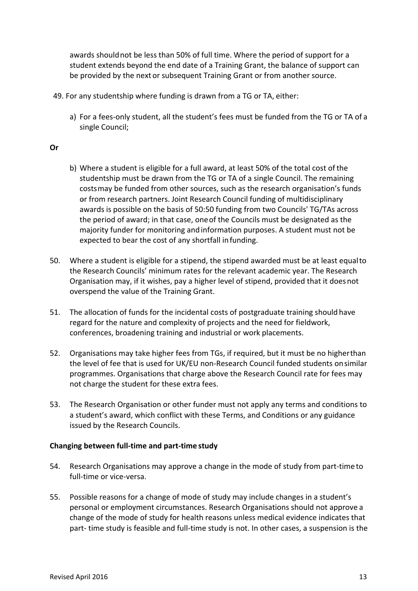awards shouldnot be less than 50% of full time. Where the period of support for a student extends beyond the end date of a Training Grant, the balance of support can be provided by the next or subsequent Training Grant or from another source.

- 49. For any studentship where funding is drawn from a TG or TA, either:
	- a) For a fees-only student, all the student's fees must be funded from the TG or TA of a single Council;

### **Or**

- b) Where a student is eligible for a full award, at least 50% of the total cost ofthe studentship must be drawn from the TG or TA of a single Council. The remaining costsmay be funded from other sources, such as the research organisation's funds or from research partners. Joint Research Council funding of multidisciplinary awards is possible on the basis of 50:50 funding from two Councils' TG/TAs across the period of award; in that case, oneof the Councils must be designated as the majority funder for monitoring and information purposes. A student must not be expected to bear the cost of any shortfall infunding.
- 50. Where a student is eligible for a stipend, the stipend awarded must be at least equalto the Research Councils' minimum rates for the relevant academic year. The Research Organisation may, if it wishes, pay a higher level of stipend, provided that it doesnot overspend the value of the Training Grant.
- 51. The allocation of funds for the incidental costs of postgraduate training should have regard for the nature and complexity of projects and the need for fieldwork, conferences, broadening training and industrial or work placements.
- 52. Organisations may take higher fees from TGs, if required, but it must be no higherthan the level of fee that is used for UK/EU non-Research Council funded students onsimilar programmes. Organisations that charge above the Research Council rate for fees may not charge the student for these extra fees.
- 53. The Research Organisation or other funder must not apply any terms and conditions to a student's award, which conflict with these Terms, and Conditions or any guidance issued by the Research Councils.

### **Changing between full-time and part-time study**

- 54. Research Organisations may approve a change in the mode of study from part-time to full-time or vice-versa.
- 55. Possible reasons for a change of mode of study may include changes in a student's personal or employment circumstances. Research Organisations should not approve a change of the mode of study for health reasons unless medical evidence indicates that part- time study is feasible and full-time study is not. In other cases, a suspension is the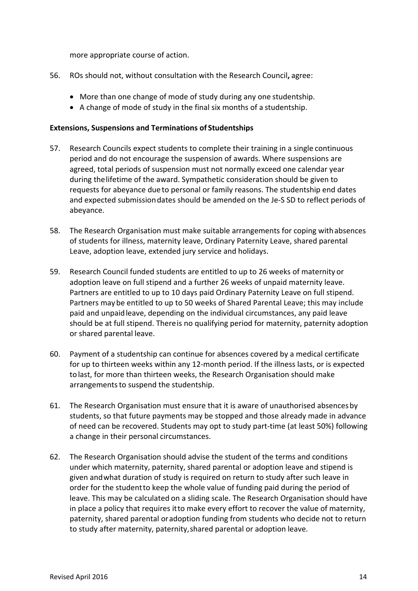more appropriate course of action.

- 56. ROs should not, without consultation with the Research Council**,** agree:
	- More than one change of mode of study during any one studentship.
	- A change of mode of study in the final six months of a studentship.

#### **Extensions, Suspensions and Terminations of Studentships**

- 57. Research Councils expect students to complete their training in a single continuous period and do not encourage the suspension of awards. Where suspensions are agreed, total periods of suspension must not normally exceed one calendar year during thelifetime of the award. Sympathetic consideration should be given to requests for abeyance due to personal or family reasons. The studentship end dates and expected submissiondates should be amended on the Je-S SD to reflect periods of abeyance.
- 58. The Research Organisation must make suitable arrangements for coping withabsences of students for illness, maternity leave, Ordinary Paternity Leave, shared parental Leave, adoption leave, extended jury service and holidays.
- 59. Research Council funded students are entitled to up to 26 weeks of maternity or adoption leave on full stipend and a further 26 weeks of unpaid maternity leave. Partners are entitled to up to 10 days paid Ordinary Paternity Leave on full stipend. Partners may be entitled to up to 50 weeks of Shared Parental Leave; this may include paid and unpaidleave, depending on the individual circumstances, any paid leave should be at full stipend. Thereis no qualifying period for maternity, paternity adoption or shared parental leave.
- 60. Payment of a studentship can continue for absences covered by a medical certificate for up to thirteen weeks within any 12-month period. If the illness lasts, or is expected tolast, for more than thirteen weeks, the Research Organisation should make arrangements to suspend the studentship.
- 61. The Research Organisation must ensure that it is aware of unauthorised absencesby students, so that future payments may be stopped and those already made in advance of need can be recovered. Students may opt to study part-time (at least 50%) following a change in their personal circumstances.
- 62. The Research Organisation should advise the student of the terms and conditions under which maternity, paternity, shared parental or adoption leave and stipend is given andwhat duration of study is required on return to study after such leave in order for the studentto keep the whole value of funding paid during the period of leave. This may be calculated on a sliding scale. The Research Organisation should have in place a policy that requires itto make every effort to recover the value of maternity, paternity, shared parental oradoption funding from students who decide not to return to study after maternity, paternity,shared parental or adoption leave.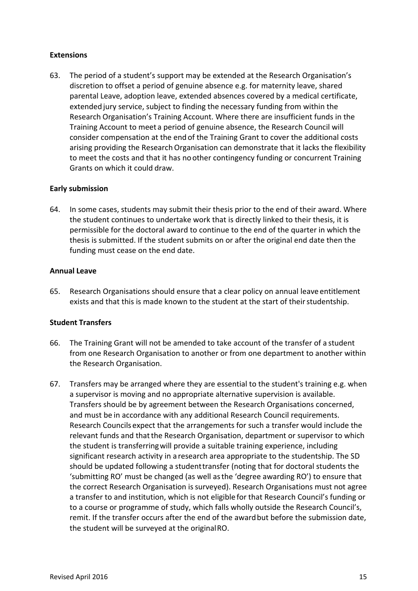### **Extensions**

63. The period of a student's support may be extended at the Research Organisation's discretion to offset a period of genuine absence e.g. for maternity leave, shared parental Leave, adoption leave, extended absences covered by a medical certificate, extended jury service, subject to finding the necessary funding from within the Research Organisation's Training Account. Where there are insufficient funds in the Training Account to meet a period of genuine absence, the Research Council will consider compensation at the end of the Training Grant to cover the additional costs arising providing the Research Organisation can demonstrate that it lacks the flexibility to meet the costs and that it has noother contingency funding or concurrent Training Grants on which it could draw.

## **Early submission**

64. In some cases, students may submit their thesis prior to the end of their award. Where the student continues to undertake work that is directly linked to their thesis, it is permissible for the doctoral award to continue to the end of the quarter in which the thesis is submitted. If the student submits on or after the original end date then the funding must cease on the end date.

### **Annual Leave**

65. Research Organisations should ensure that a clear policy on annual leave entitlement exists and that this is made known to the student at the start of their studentship.

## **Student Transfers**

- 66. The Training Grant will not be amended to take account of the transfer of a student from one Research Organisation to another or from one department to another within the Research Organisation.
- 67. Transfers may be arranged where they are essential to the student's training e.g. when a supervisor is moving and no appropriate alternative supervision is available. Transfers should be by agreement between the Research Organisations concerned, and must be in accordance with any additional Research Council requirements. Research Councils expect that the arrangements for such a transfer would include the relevant funds and that the Research Organisation, department or supervisor to which the student is transferringwill provide a suitable training experience, including significant research activity in a research area appropriate to the studentship. The SD should be updated following a studenttransfer (noting that for doctoral students the 'submitting RO' must be changed (as well asthe 'degree awarding RO') to ensure that the correct Research Organisation is surveyed). Research Organisations must not agree a transfer to and institution, which is not eligible for that Research Council's funding or to a course or programme of study, which falls wholly outside the Research Council's, remit. If the transfer occurs after the end of the award but before the submission date, the student will be surveyed at the originalRO.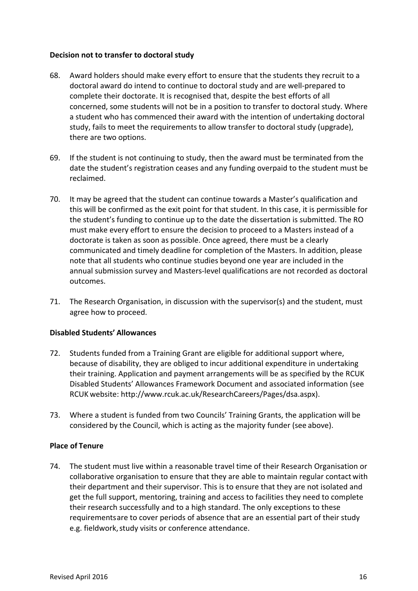### **Decision not to transfer to doctoral study**

- 68. Award holders should make every effort to ensure that the students they recruit to a doctoral award do intend to continue to doctoral study and are well-prepared to complete their doctorate. It is recognised that, despite the best efforts of all concerned, some students will not be in a position to transfer to doctoral study. Where a student who has commenced their award with the intention of undertaking doctoral study, fails to meet the requirements to allow transfer to doctoral study (upgrade), there are two options.
- 69. If the student is not continuing to study, then the award must be terminated from the date the student's registration ceases and any funding overpaid to the student must be reclaimed.
- 70. It may be agreed that the student can continue towards a Master's qualification and this will be confirmed as the exit point for that student. In this case, it is permissible for the student's funding to continue up to the date the dissertation is submitted. The RO must make every effort to ensure the decision to proceed to a Masters instead of a doctorate is taken as soon as possible. Once agreed, there must be a clearly communicated and timely deadline for completion of the Masters. In addition, please note that all students who continue studies beyond one year are included in the annual submission survey and Masters-level qualifications are not recorded as doctoral outcomes.
- 71. The Research Organisation, in discussion with the supervisor(s) and the student, must agree how to proceed.

## **Disabled Students' Allowances**

- 72. Students funded from a Training Grant are eligible for additional support where, because of disability, they are obliged to incur additional expenditure in undertaking their training. Application and payment arrangements will be as specified by the RCUK Disabled Students' Allowances Framework Document and associated information (see RCUK website: [http://www.rcuk.ac.uk/ResearchCareers/Pages/dsa.aspx\).](http://www.rcuk.ac.uk/ResearchCareers/Pages/dsa.aspx))
- 73. Where a student is funded from two Councils' Training Grants, the application will be considered by the Council, which is acting as the majority funder (see above).

### **Place of Tenure**

74. The student must live within a reasonable travel time of their Research Organisation or collaborative organisation to ensure that they are able to maintain regular contact with their department and their supervisor. This is to ensure that they are not isolated and get the full support, mentoring, training and access to facilities they need to complete their research successfully and to a high standard. The only exceptions to these requirementsare to cover periods of absence that are an essential part of their study e.g. fieldwork, study visits or conference attendance.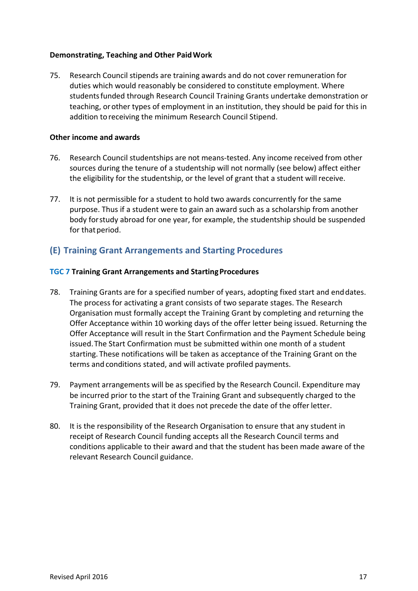### **Demonstrating, Teaching and Other PaidWork**

75. Research Council stipends are training awards and do not cover remuneration for duties which would reasonably be considered to constitute employment. Where studentsfunded through Research Council Training Grants undertake demonstration or teaching, orother types of employment in an institution, they should be paid for this in addition to receiving the minimum Research Council Stipend.

### **Other income and awards**

- 76. Research Council studentships are not means-tested. Any income received from other sources during the tenure of a studentship will not normally (see below) affect either the eligibility for the studentship, or the level of grant that a student willreceive.
- 77. It is not permissible for a student to hold two awards concurrently for the same purpose. Thus if a student were to gain an award such as a scholarship from another body forstudy abroad for one year, for example, the studentship should be suspended for that period.

## <span id="page-16-0"></span>**(E) Training Grant Arrangements and Starting Procedures**

### **TGC 7 Training Grant Arrangements and StartingProcedures**

- 78. Training Grants are for a specified number of years, adopting fixed start and enddates. The process for activating a grant consists of two separate stages. The Research Organisation must formally accept the Training Grant by completing and returning the Offer Acceptance within 10 working days of the offer letter being issued. Returning the Offer Acceptance will result in the Start Confirmation and the Payment Schedule being issued.The Start Confirmation must be submitted within one month of a student starting. These notifications will be taken as acceptance of the Training Grant on the terms and conditions stated, and will activate profiled payments.
- 79. Payment arrangements will be as specified by the Research Council. Expenditure may be incurred prior to the start of the Training Grant and subsequently charged to the Training Grant, provided that it does not precede the date of the offer letter.
- 80. It is the responsibility of the Research Organisation to ensure that any student in receipt of Research Council funding accepts all the Research Council terms and conditions applicable to their award and that the student has been made aware of the relevant Research Council guidance.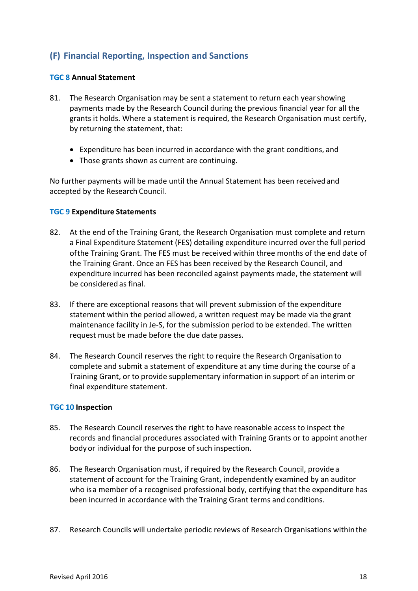## <span id="page-17-0"></span>**(F) Financial Reporting, Inspection and Sanctions**

### **TGC 8 Annual Statement**

- 81. The Research Organisation may be sent a statement to return each yearshowing payments made by the Research Council during the previous financial year for all the grants it holds. Where a statement is required, the Research Organisation must certify, by returning the statement, that:
	- Expenditure has been incurred in accordance with the grant conditions, and
	- Those grants shown as current are continuing.

No further payments will be made until the Annual Statement has been receivedand accepted by the Research Council.

### **TGC 9 Expenditure Statements**

- 82. At the end of the Training Grant, the Research Organisation must complete and return a Final Expenditure Statement (FES) detailing expenditure incurred over the full period ofthe Training Grant. The FES must be received within three months of the end date of the Training Grant. Once an FES has been received by the Research Council, and expenditure incurred has been reconciled against payments made, the statement will be considered as final.
- 83. If there are exceptional reasons that will prevent submission of the expenditure statement within the period allowed, a written request may be made via the grant maintenance facility in Je-S, for the submission period to be extended. The written request must be made before the due date passes.
- 84. The Research Council reserves the right to require the Research Organisation to complete and submit a statement of expenditure at any time during the course of a Training Grant, or to provide supplementary information in support of an interim or final expenditure statement.

### **TGC 10 Inspection**

- 85. The Research Council reserves the right to have reasonable access to inspect the records and financial procedures associated with Training Grants or to appoint another body or individual for the purpose of such inspection.
- 86. The Research Organisation must, if required by the Research Council, provide a statement of account for the Training Grant, independently examined by an auditor who isa member of a recognised professional body, certifying that the expenditure has been incurred in accordance with the Training Grant terms and conditions.
- 87. Research Councils will undertake periodic reviews of Research Organisations withinthe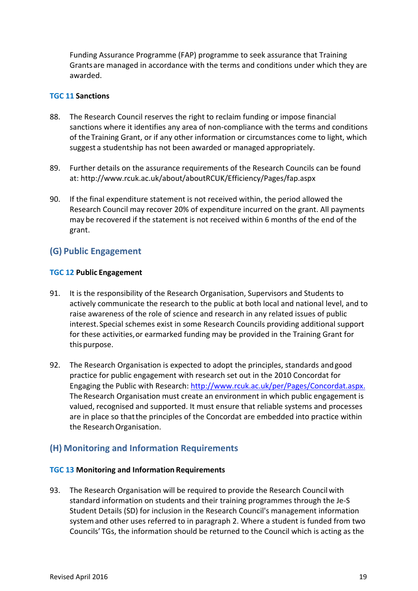Funding Assurance Programme (FAP) programme to seek assurance that Training Grantsare managed in accordance with the terms and conditions under which they are awarded.

### **TGC 11 Sanctions**

- 88. The Research Council reserves the right to reclaim funding or impose financial sanctions where it identifies any area of non-compliance with the terms and conditions of the Training Grant, or if any other information or circumstances come to light, which suggest a studentship has not been awarded or managed appropriately.
- 89. Further details on the assurance requirements of the Research Councils can be found at: <http://www.rcuk.ac.uk/about/aboutRCUK/Efficiency/Pages/fap.aspx>
- 90. If the final expenditure statement is not received within, the period allowed the Research Council may recover 20% of expenditure incurred on the grant. All payments may be recovered if the statement is not received within 6 months of the end of the grant.

## <span id="page-18-0"></span>**(G) Public Engagement**

### **TGC 12 Public Engagement**

- 91. It is the responsibility of the Research Organisation, Supervisors and Students to actively communicate the research to the public at both local and national level, and to raise awareness of the role of science and research in any related issues of public interest.Special schemes exist in some Research Councils providing additional support for these activities,or earmarked funding may be provided in the Training Grant for this purpose.
- 92. The Research Organisation is expected to adopt the principles, standards andgood practice for public engagement with research set out in the 2010 Concordat for Engaging the Public with Research[: http://www.rcuk.ac.uk/per/Pages/Concordat.aspx.](http://www.rcuk.ac.uk/per/Pages/Concordat.aspx) TheResearch Organisation must create an environment in which public engagement is valued, recognised and supported. It must ensure that reliable systems and processes are in place so thatthe principles of the Concordat are embedded into practice within the Research Organisation.

## <span id="page-18-1"></span>**(H) Monitoring and Information Requirements**

#### **TGC 13 Monitoring and Information Requirements**

93. The Research Organisation will be required to provide the Research Councilwith standard information on students and their training programmes through the Je-S Student Details (SD) for inclusion in the Research Council's management information systemand other uses referred to in paragraph 2. Where a student is funded from two Councils' TGs, the information should be returned to the Council which is acting as the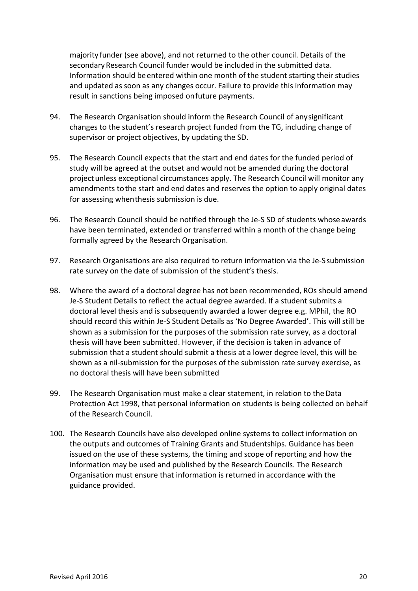majority funder (see above), and not returned to the other council. Details of the secondary Research Council funder would be included in the submitted data. Information should beentered within one month of the student starting their studies and updated as soon as any changes occur. Failure to provide this information may result in sanctions being imposed onfuture payments.

- 94. The Research Organisation should inform the Research Council of anysignificant changes to the student's research project funded from the TG, including change of supervisor or project objectives, by updating the SD.
- 95. The Research Council expects that the start and end dates for the funded period of study will be agreed at the outset and would not be amended during the doctoral projectunless exceptional circumstances apply. The Research Council will monitor any amendments tothe start and end dates and reserves the option to apply original dates for assessing whenthesis submission is due.
- 96. The Research Council should be notified through the Je-S SD of students whoseawards have been terminated, extended or transferred within a month of the change being formally agreed by the Research Organisation.
- 97. Research Organisations are also required to return information via the Je-S submission rate survey on the date of submission of the student's thesis.
- 98. Where the award of a doctoral degree has not been recommended, ROs should amend Je-S Student Details to reflect the actual degree awarded. If a student submits a doctoral level thesis and is subsequently awarded a lower degree e.g. MPhil, the RO should record this within Je-S Student Details as 'No Degree Awarded'. This will still be shown as a submission for the purposes of the submission rate survey, as a doctoral thesis will have been submitted. However, if the decision is taken in advance of submission that a student should submit a thesis at a lower degree level, this will be shown as a nil-submission for the purposes of the submission rate survey exercise, as no doctoral thesis will have been submitted
- 99. The Research Organisation must make a clear statement, in relation to the Data Protection Act 1998, that personal information on students is being collected on behalf of the Research Council.
- 100. The Research Councils have also developed online systems to collect information on the outputs and outcomes of Training Grants and Studentships. Guidance has been issued on the use of these systems, the timing and scope of reporting and how the information may be used and published by the Research Councils. The Research Organisation must ensure that information is returned in accordance with the guidance provided.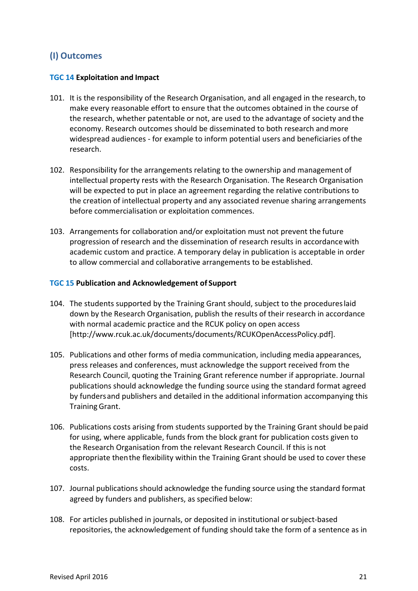## <span id="page-20-0"></span>**(I) Outcomes**

## **TGC 14 Exploitation and Impact**

- 101. It is the responsibility of the Research Organisation, and all engaged in the research,to make every reasonable effort to ensure that the outcomes obtained in the course of the research, whether patentable or not, are used to the advantage of society and the economy. Research outcomes should be disseminated to both research andmore widespread audiences - for example to inform potential users and beneficiaries ofthe research.
- 102. Responsibility for the arrangements relating to the ownership and management of intellectual property rests with the Research Organisation. The Research Organisation will be expected to put in place an agreement regarding the relative contributions to the creation of intellectual property and any associated revenue sharing arrangements before commercialisation or exploitation commences.
- 103. Arrangements for collaboration and/or exploitation must not prevent the future progression of research and the dissemination of research results in accordancewith academic custom and practice. A temporary delay in publication is acceptable in order to allow commercial and collaborative arrangements to be established.

### **TGC 15 Publication and Acknowledgement of Support**

- 104. The students supported by the Training Grant should, subject to the procedureslaid down by the Research Organisation, publish the results of their research in accordance with normal academic practice and the RCUK policy on open access [\[http://www.rcuk.ac.uk/documents/documents/RCUKOpenAccessPolicy.pdf\].](http://www.rcuk.ac.uk/documents/documents/RCUKOpenAccessPolicy.pdf)
- 105. Publications and other forms of media communication, including media appearances, press releases and conferences, must acknowledge the support received from the Research Council, quoting the Training Grant reference number if appropriate. Journal publications should acknowledge the funding source using the standard format agreed by fundersand publishers and detailed in the additional information accompanying this Training Grant.
- 106. Publications costs arising from students supported by the Training Grant should bepaid for using, where applicable, funds from the block grant for publication costs given to the Research Organisation from the relevant Research Council. If this is not appropriate thenthe flexibility within the Training Grant should be used to cover these costs.
- 107. Journal publications should acknowledge the funding source using the standard format agreed by funders and publishers, as specified below:
- 108. For articles published in journals, or deposited in institutional orsubject-based repositories, the acknowledgement of funding should take the form of a sentence as in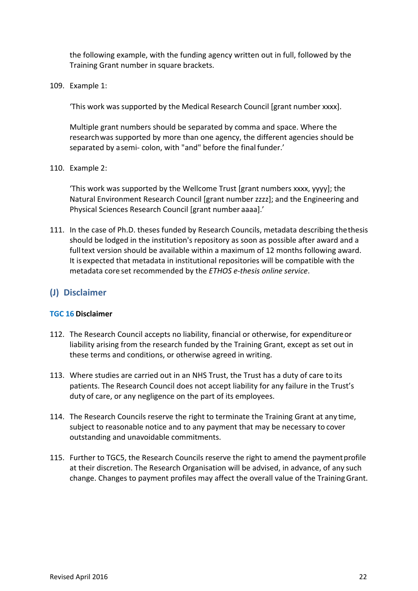the following example, with the funding agency written out in full, followed by the Training Grant number in square brackets.

109. Example 1:

'This work was supported by the Medical Research Council [grant number xxxx].

Multiple grant numbers should be separated by comma and space. Where the researchwas supported by more than one agency, the different agencies should be separated by asemi- colon, with "and" before the final funder.'

110. Example 2:

'This work was supported by the Wellcome Trust [grant numbers xxxx, yyyy]; the Natural Environment Research Council [grant number zzzz]; and the Engineering and Physical Sciences Research Council [grant number aaaa].'

111. In the case of Ph.D. theses funded by Research Councils, metadata describing thethesis should be lodged in the institution's repository as soon as possible after award and a fulltext version should be available within a maximum of 12 months following award. It isexpected that metadata in institutional repositories will be compatible with the metadata core set recommended by the *ETHOS e-thesis online service*.

## <span id="page-21-0"></span>**(J) Disclaimer**

### **TGC 16 Disclaimer**

- 112. The Research Council accepts no liability, financial or otherwise, for expenditureor liability arising from the research funded by the Training Grant, except as set out in these terms and conditions, or otherwise agreed in writing.
- 113. Where studies are carried out in an NHS Trust, the Trust has a duty of care to its patients. The Research Council does not accept liability for any failure in the Trust's duty of care, or any negligence on the part of its employees.
- 114. The Research Councils reserve the right to terminate the Training Grant at any time, subject to reasonable notice and to any payment that may be necessary to cover outstanding and unavoidable commitments.
- 115. Further to TGC5, the Research Councils reserve the right to amend the paymentprofile at their discretion. The Research Organisation will be advised, in advance, of any such change. Changes to payment profiles may affect the overall value of the Training Grant.